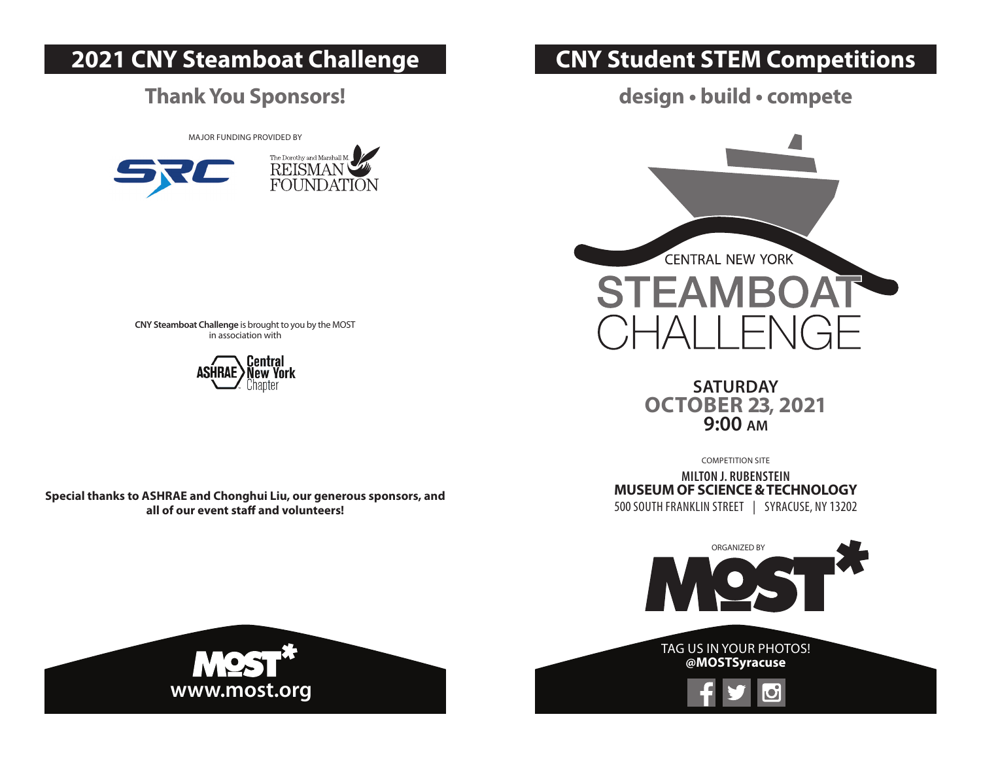# **2021 CNY Steamboat Challenge**

#### **Thank You Sponsors!**

MAJOR FUNDING PROVIDED BY



# **CNY Student STEM Competitions**

**design • build • compete**



**SATURDAY OCTOBER 23, 2021 9:00 am**

COMPETITION SITE

**MILTON J. RUBENSTEIN MUSEUM OF SCIENCE & TECHNOLOGY** 500 SOUTH FRANKLIN STREET | SYRACUSE, NY 13202



**CNY Steamboat Challenge** is brought to you by the MOST in association with



**Special thanks to ASHRAE and Chonghui Liu, our generous sponsors, and all of our event staff and volunteers!**